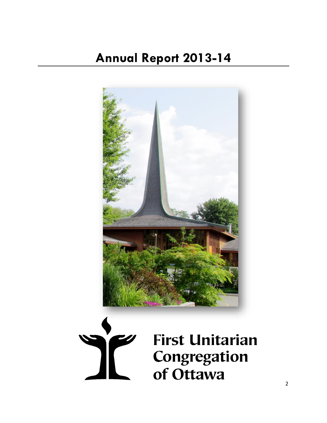



**First Unitarian** Congregation of Ottawa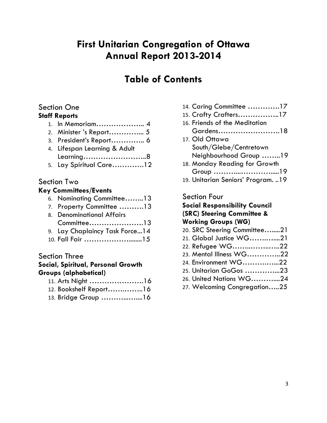# **First Unitarian Congregation of Ottawa Annual Report 2013-2014**

# **Table of Contents**

## Section One

## **Staff Reports**

| 1. In Memoriam 4             |
|------------------------------|
|                              |
| 3. President's Report 6      |
| 4. Lifespan Learning & Adult |
| Learning8                    |
| 5. Lay Spiritual Care12      |
|                              |

## Section Two

## **Key Committees/Events**

|  |  | 6. Nominating Committee13 |  |  |
|--|--|---------------------------|--|--|
|--|--|---------------------------|--|--|

- 7. Property Committee ……….13
- 8. Denominational Affairs Committee………………….13 9. Lay Chaplaincy Task Force...14
- 10. Fall Fair ………………........15

## Section Three

## **Social, Spiritual, Personal Growth Groups (alphabetical)**

| 12. Bookshelf Report16 |  |
|------------------------|--|

13. Bridge Group ………...…....16

- 14. Caring Committee ………….17
- 15. Crafty Crafters……………..17
- 16. Friends of the Meditation Gardens…………………….18
- 17. Old Ottawa South/Glebe/Centretown Neighbourhood Group ……..19
- 18. Monday Reading for Growth Group ………...………….....19
- 19. Unitarian Seniors' Program. ..19

## Section Four

## **Social Responsibility Council (SRC) Steering Committee & Working Groups (WG)**

- 20. SRC Steering Committee….....21
- 21. Global Justice WG…….…....21
- 22. Refugee WG……..……..…..22
- 23. Mental Illness WG…………..22
- 24. Environment WG……….…...22
- 25. Unitarian GoGos …………...23
- 26. United Nations WG………....24
- 27. Welcoming Congregation…..25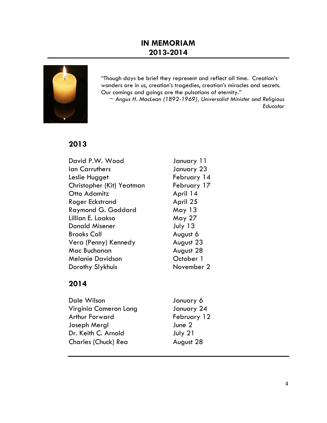## **IN MEMORIAM 2013-2014**



"Though days be brief they represent and reflect all time. Creation's wonders are in us, creation's tragedies, creation's miracles and secrets. Our comings and goings are the pulsations of eternity."

~ *Angus H. MacLean (1892-1969), Universalist Minister and Religious Educator*

## **2013**

| David P.W. Wood           | January 11  |
|---------------------------|-------------|
| <b>Ian Carruthers</b>     | January 23  |
| Leslie Hugget             | February 14 |
| Christopher (Kit) Yeatman | February 17 |
| Otto Adamitz              | April 14    |
| Roger Eckstrand           | April 25    |
| Raymond G. Goddard        | May 13      |
| Lillian E. Laakso         | May 27      |
| <b>Donald Misener</b>     | July 13     |
| <b>Brooks Coll</b>        | August 6    |
| Vera (Penny) Kennedy      | August 23   |
| Mac Buchanan              | August 28   |
| <b>Melanie Davidson</b>   | October 1   |
| Dorothy Slykhuis          | November 2  |

## **2014**

| Dale Wilson                | January 6   |
|----------------------------|-------------|
| Virginia Cameron Lang      | January 24  |
| <b>Arthur Forward</b>      | February 12 |
| Joseph Mergl               | June $2$    |
| Dr. Keith C. Arnold        | July 21     |
| <b>Charles (Chuck) Rea</b> | August 28   |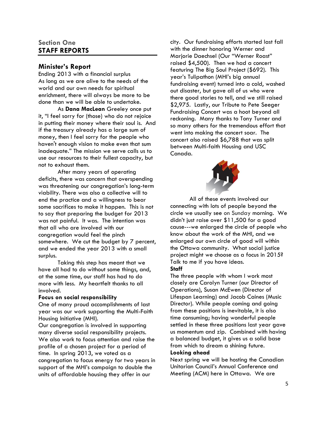## **Section One STAFF REPORTS**

### **Minister's Report**

Ending 2013 with a financial surplus As long as we are alive to the needs of the world and our own needs for spiritual enrichment, there will always be more to be done than we will be able to undertake.

As **Dana MacLean** Greeley once put it, "I feel sorry for (those) who do not rejoice in putting their money where their soul is. And if the treasury already has a large sum of money, then I feel sorry for the people who haven't enough vision to make even that sum inadequate." The mission we serve calls us to use our resources to their fullest capacity, but not to exhaust them.

After many years of operating deficits, there was concern that overspending was threatening our congregation's long-term viability. There was also a collective will to end the practice and a willingness to bear some sacrifices to make it happen. This is not to say that preparing the budget for 2013 was not painful. It was. The intention was that all who are involved with our congregation would feel the pinch somewhere. We cut the budget by 7 percent, and we ended the year 2013 with a small surplus.

Taking this step has meant that we have all had to do without some things, and, at the same time, our staff has had to do more with less. My heartfelt thanks to all involved.

#### **Focus on social responsibility**

One of many proud accomplishments of last year was our work supporting the Multi-Faith Housing Initiative (MHI).

Our congregation is involved in supporting many diverse social responsibility projects. We also work to focus attention and raise the profile of a chosen project for a period of time. In spring 2013, we voted as a congregation to focus energy for two years in support of the MHI's campaign to double the units of affordable housing they offer in our

city. Our fundraising efforts started last fall with the dinner honoring Werner and Marjorie Daechsel (Our "Werner Roast" raised \$4,500). Then we had a concert featuring The Big Soul Project (\$692). This year's Tulipathon (MHI's big annual fundraising event) turned into a cold, washed out disaster, but gave all of us who were there good stories to tell, and we still raised \$2,975. Lastly, our Tribute to Pete Seeger Fundraising Concert was a hoot beyond all reckoning. Many thanks to Tony Turner and so many others for the tremendous effort that went into making the concert soar. The concert also raised \$6,788 that was split between Multi-faith Housing and USC Canada.



All of these events involved our connecting with lots of people beyond the circle we usually see on Sunday morning. We didn't just raise over \$11,500 for a good cause---we enlarged the circle of people who know about the work of the MHI, and we enlarged our own circle of good will within the Ottawa community*.* What social justice project might we choose as a focus in 2015? Talk to me if you have ideas. **Staff**

The three people with whom I work most closely are Carolyn Turner (our Director of Operations), Susan McEwen (Director of Lifespan Learning) and Jacob Caines (Music Director). While people coming and going from these positions is inevitable, it is also time consuming; having wonderful people settled in these three positions last year gave us momentum and zip. Combined with having a balanced budget, it gives us a solid base from which to dream a shining future. **Looking ahead**

Next spring we will be hosting the Canadian Unitarian Council's Annual Conference and Meeting (ACM) here in Ottawa. We are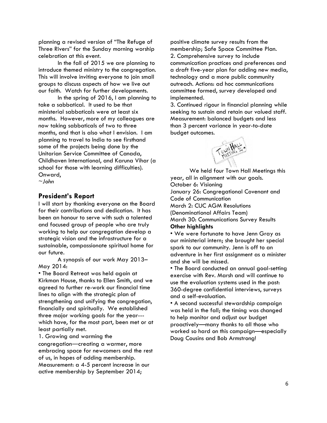planning a revised version of "The Refuge of Three Rivers" for the Sunday morning worship celebration at this event.

In the fall of 2015 we are planning to introduce themed ministry to the congregation. This will involve inviting everyone to join small groups to discuss aspects of how we live out our faith. Watch for further developments.

In the spring of 2016, I am planning to take a sabbatical. It used to be that ministerial sabbaticals were at least six months. However, more of my colleagues are now taking sabbaticals of two to three months, and that is also what I envision. I am planning to travel to India to see firsthand some of the projects being done by the Unitarian Service Committee of Canada, Childhaven International, and Karuna Vihar (a school for those with learning difficulties). Onward,

*~John*

#### **President's Report**

I will start by thanking everyone on the Board for their contributions and dedication. It has been an honour to serve with such a talented and focused group of people who are truly working to help our congregation develop a strategic vision and the infrastructure for a sustainable, compassionate spiritual home for our future.

A synopsis of our work May 2013– May 2014:

• The Board Retreat was held again at Kirkman House, thanks to Ellen Smith, and we agreed to further re-work our financial time lines to align with the strategic plan of strengthening and unifying the congregation, financially and spiritually. We established three major working goals for the year-- which have, for the most part, been met or at least partially met.

1. Growing and warming the

congregation―creating a warmer, more embracing space for newcomers and the rest of us, in hopes of adding membership. Measurement: a 4-5 percent increase in our active membership by September 2014;

positive climate survey results from the membership; Safe Space Committee Plan. 2. Comprehensive survey to include communication practices and preferences and a draft five-year plan for adding new media, technology and a more public community outreach. Actions: ad hoc communications committee formed, survey developed and implemented.

3. Continued rigour in financial planning while seeking to sustain and retain our valued staff. Measurement: balanced budgets and less than 3 percent variance in year-to-date budget outcomes.



We held four Town Hall Meetings this year, all in alignment with our goals. October 6: Visioning January 26: Congregational Covenant and Code of Communication March 2: CUC AGM Resolutions (Denominational Affairs Team) March 30: Communications Survey Results **Other highlights**

• We were fortunate to have Jenn Gray as our ministerial intern; she brought her special spark to our community. Jenn is off to an adventure in her first assignment as a minister and she will be missed.

• The Board conducted an annual goal-setting exercise with Rev. Marsh and will continue to use the evaluation systems used in the past: 360-degree confidential interviews, surveys and a self-evaluation.

• A second successful stewardship campaign was held in the fall; the timing was changed to help monitor and adjust our budget proactively—many thanks to all those who worked so hard on this campaign—especially Doug Cousins and Bob Armstrong!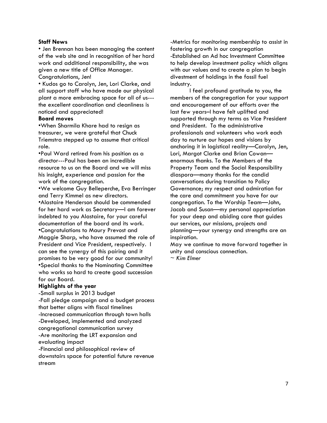#### **Staff News**

• Jen Brennan has been managing the content of the web site and in recognition of her hard work and additional responsibility, she was given a new title of Office Manager. Congratulations, Jen!

• Kudos go to Carolyn, Jen, Lori Clarke, and all support staff who have made our physical plant a more embracing space for all of us-- the excellent coordination and cleanliness is noticed and appreciated!

#### **Board moves**

•When Sharmila Khare had to resign as treasurer, we were grateful that Chuck Triemstra stepped up to assume that critical role.

•Paul Ward retired from his position as a director---Paul has been an incredible resource to us on the Board and we will miss his insight, experience and passion for the work of the congregation.

•We welcome Guy Belleperche, Eva Berringer and Terry Kimmel as new directors.

•Alastaire Henderson should be commended for her hard work as Secretary—I am forever indebted to you Alastaire, for your careful documentation of the board and its work. •Congratulations to Maury Prevost and Maggie Sharp, who have assumed the role of President and Vice President, respectively. I can see the synergy of this pairing and it promises to be very good for our community! •Special thanks to the Nominating Committee who works so hard to create good succession for our Board.

#### **Highlights of the year**

-Small surplus in 2013 budget -Fall pledge campaign and a budget process that better aligns with fiscal timelines -Increased communication through town halls -Developed, implemented and analyzed congregational communication survey -Are monitoring the LRT expansion and evaluating impact -Financial and philosophical review of downstairs space for potential future revenue stream

-Metrics for monitoring membership to assist in fostering growth in our congregation -Established an Ad hoc Investment Committee to help develop investment policy which aligns with our values and to create a plan to begin divestment of holdings in the fossil fuel industry.

I feel profound gratitude to you, the members of the congregation for your support and encouragement of our efforts over the last few years–I have felt uplifted and supported through my terms as Vice President and President. To the administrative professionals and volunteers who work each day to nurture our hopes and visions by anchoring it in logistical reality—Carolyn, Jen, Lori, Margot Clarke and Brian Cowan enormous thanks. To the Members of the Property Team and the Social Responsibility diaspora—many thanks for the candid conversations during transition to Policy Governance; my respect and admiration for the care and commitment you have for our congregation. To the Worship Team—John, Jacob and Susan—my personal appreciation for your deep and abiding care that guides our services, our missions, projects and planning—your synergy and strengths are an inspiration.

May we continue to move forward together in unity and conscious connection.

*~ Kim Elmer*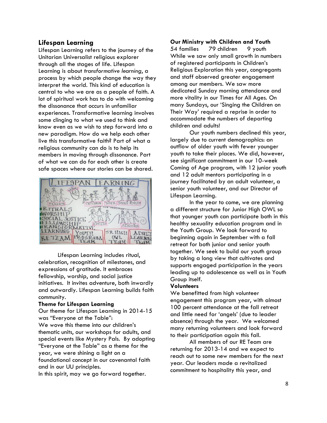#### **Lifespan Learning**

Lifespan Learning refers to the journey of the Unitarian Universalist religious explorer through all the stages of life. Lifespan Learning is about *transformative learning*, a process by which people change the way they interpret the world. This kind of education is central to who we are as a people of faith. A lot of spiritual work has to do with welcoming the dissonance that occurs in unfamiliar experiences. Transformative learning involves some clinging to what we used to think and know even as we wish to step forward into a new paradigm. How do we help each other live this transformative faith? Part of what a religious community can do is to help its members in moving through dissonance. Part of what we can do for each other is create safe spaces where our stories can be shared.



Lifespan Learning includes ritual, celebration, recognition of milestones, and expressions of gratitude. It embraces fellowship, worship, and social justice initiatives. It invites adventure, both inwardly and outwardly. Lifespan Learning builds faith community.

#### **Theme for Lifespan Learning**

Our theme for Lifespan Learning in 2014-15 was "Everyone at the Table":

We wove this theme into our children's thematic units, our workshops for adults, and special events like Mystery Pals. By adopting "Everyone at the Table" as a theme for the year, we were shining a light on a foundational concept in our covenantal faith and in our UU principles.

In this spirit, may we go forward together.

#### **Our Ministry with Children and Youth**

54 families 79 children 9 youth While we saw only small growth in numbers of registered participants in Children's Religious Exploration this year, congregants and staff observed greater engagement among our members. We saw more dedicated Sunday morning attendance and more vitality in our Times for All Ages. On many Sundays, our 'Singing the Children on Their Way' required a reprise in order to accommodate the numbers of departing children and adults!

Our youth numbers declined this year, largely due to current demographics: an outflow of older youth with fewer younger youth to take their places. We did, however, see significant commitment in our 10-week Coming of Age program, with 12 junior youth and 12 adult mentors participating in a journey facilitated by an adult volunteer, a senior youth volunteer, and our Director of Lifespan Learning.

In the year to come, we are planning a different structure for Junior High OWL so that younger youth can participate both in this healthy sexuality education program and in the Youth Group. We look forward to beginning again in September with a fall retreat for both junior and senior youth together. We seek to build our youth group by taking a long view that cultivates and supports engaged participation in the years leading up to adolescence as well as in Youth Group itself.

#### **Volunteers**

We benefitted from high volunteer engagement this program year, with almost 100 percent attendance at the fall retreat and little need for 'angels' (due to leader absence) through the year. We welcomed many returning volunteers and look forward to their participation again this fall.

All members of our RE Team are returning for 2013-14 and we expect to reach out to some new members for the next year. Our leaders made a revitalized commitment to hospitality this year, and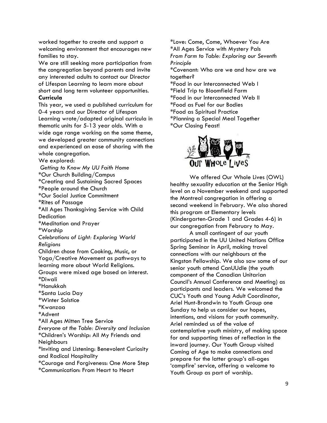worked together to create and support a welcoming environment that encourages new families to stay.

We are still seeking more participation from the congregation beyond parents and invite any interested adults to contact our Director of Lifespan Learning to learn more about short and long term volunteer opportunities. **Curricula**

This year, we used a published curriculum for 0-4 years and our Director of Lifespan Learning wrote/adapted original curricula in thematic units for 5-13 year olds. With a wide age range working on the same theme, we developed greater community connections and experienced an ease of sharing with the whole congregation.

We explored:

*Getting to Know My UU Faith Home* \*Our Church Building/Campus \*Creating and Sustaining Sacred Spaces \*People around the Church \*Our Social Justice Commitment \*Rites of Passage \*All Ages Thanksgiving Service with Child **Dedication** \*Meditation and Prayer \*Worship *Celebrations of Light: Exploring World Religions* Children chose from Cooking, Music, or Yoga/Creative Movement as pathways to learning more about World Religions. Groups were mixed age based on interest. \*Diwali \*Hanukkah \*Santa Lucia Day \*Winter Solstice \*Kwanzaa \*Advent \*All Ages Mitten Tree Service *Everyone at the Table: Diversity and Inclusion* \*Children's Worship: All My Friends and **Neighbours** \*Inviting and Listening: Benevolent Curiosity and Radical Hospitality \*Courage and Forgiveness: One More Step \*Communication: From Heart to Heart

\*Love: Come, Come, Whoever You Are \*All Ages Service with Mystery Pals *From Farm to Table: Exploring our Seventh Principle* \*Covenant: Who are we and how are we together? \*Food in our Interconnected Web I \*Field Trip to Bloomfield Farm \*Food in our Interconnected Web II \*Food as Fuel for our Bodies \*Food as Spiritual Practice \*Planning a Special Meal Together \*Our Closing Feast!



We offered Our Whole Lives (OWL) healthy sexuality education at the Senior High level on a November weekend and supported the Montreal congregation in offering a second weekend in February. We also shared this program at Elementary levels (Kindergarten-Grade 1 and Grades 4-6) in our congregation from February to May.

A small contingent of our youth participated in the UU United Nations Office Spring Seminar in April, making travel connections with our neighbours at the Kingston Fellowship. We also saw some of our senior youth attend CanUUdle (the youth component of the Canadian Unitarian Council's Annual Conference and Meeting) as participants and leaders. We welcomed the CUC's Youth and Young Adult Coordinator, Ariel Hunt-Brondwin to Youth Group one Sunday to help us consider our hopes, intentions, and visions for youth community. Ariel reminded us of the value of contemplative youth ministry, of making space for and supporting times of reflection in the inward journey. Our Youth Group visited Coming of Age to make connections and prepare for the latter group's all-ages 'campfire' service, offering a welcome to Youth Group as part of worship.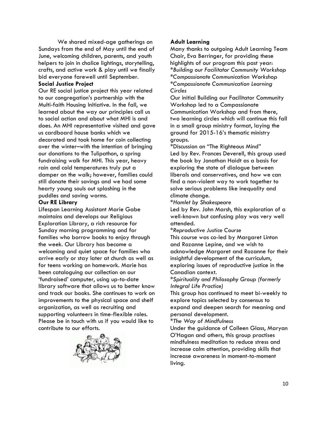We shared mixed-age gatherings on Sundays from the end of May until the end of June, welcoming children, parents, and youth helpers to join in chalice lightings, storytelling, crafts, and active work & play until we finally bid everyone farewell until September.

#### **Social Justice Project**

Our RE social justice project this year related to our congregation's partnership with the Multi-faith Housing Initiative. In the fall, we learned about the way our principles call us to social action and about what MHI is and does. An MHI representative visited and gave us cardboard house banks which we decorated and took home for coin collecting over the winter–with the intention of bringing our donations to the Tulipathon, a spring fundraising walk for MHI. This year, heavy rain and cold temperatures truly put a damper on the walk; however, families could still donate their savings and we had some hearty young souls out splashing in the puddles and saving worms.

#### **Our RE Library**

Lifespan Learning Assistant Marie Gabe maintains and develops our Religious Exploration Library, a rich resource for Sunday morning programming and for families who borrow books to enjoy through the week. Our Library has become a welcoming and quiet space for families who arrive early or stay later at church as well as for teens working on homework. Marie has been cataloguing our collection on our 'fundraised' computer, using up-to-date library software that allows us to better know and track our books. She continues to work on improvements to the physical space and shelf organization, as well as recruiting and supporting volunteers in time-flexible roles. Please be in touch with us if you would like to contribute to our efforts.



#### **Adult Learning**

Many thanks to outgoing Adult Learning Team Chair, Eva Berringer, for providing these highlights of our program this past year: \**Building our Facilitator Community Workshop \*Compassionate Communication Workshop \*Compassionate Communication Learning Circles*

Our initial Building our Facilitator Community Workshop led to a Compassionate Communication Workshop and from there, two learning circles which will continue this fall in a small group ministry format, laying the ground for 2015-16's thematic ministry groups.

\*Discussion on "The Righteous Mind" Led by Rev. Frances Deverell, this group used the book by Jonathan Haidt as a basis for exploring the state of dialogue between liberals and conservatives, and how we can find a non-violent way to work together to solve serious problems like inequality and climate change.

\**Hamlet by Shakespeare*

Led by Rev. John Marsh, this exploration of a well-known but confusing play was very well attended.

#### \**Reproductive Justice Course*

This course was co-led by Margaret Linton and Rozanne Lepine, and we wish to acknowledge Margaret and Rozanne for their insightful development of the curriculum, exploring issues of reproductive justice in the Canadian context.

#### \**Spirituality and Philosophy Group (formerly Integral Life Practice)*

This group has continued to meet bi-weekly to explore topics selected by consensus to expand and deepen search for meaning and personal development.

\**The Way of Mindfulness*

Under the guidance of Colleen Glass, Maryan O'Hagan and others, this group practises mindfulness meditation to reduce stress and increase calm attention, providing skills that increase awareness in moment-to-moment living.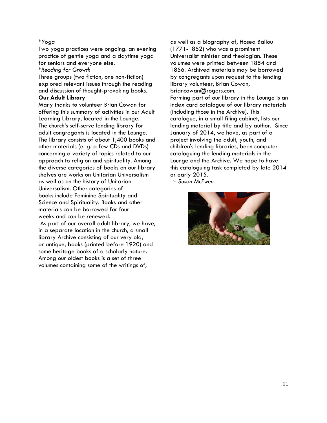#### \**Yoga*

Two yoga practices were ongoing: an evening practice of gentle yoga and a daytime yoga for seniors and everyone else.

\**Reading for Growth*

Three groups (two fiction, one non-fiction) explored relevant issues through the reading and discussion of thought-provoking books.

## **Our Adult Library**

Many thanks to volunteer Brian Cowan for offering this summary of activities in our Adult Learning Library, located in the Lounge. The church's self-serve lending library for adult congregants is located in the Lounge. The library consists of about 1,400 books and other materials (e. g. a few CDs and DVDs) concerning a variety of topics related to our approach to religion and spirituality. Among the diverse categories of books on our library shelves are works on Unitarian Universalism as well as on the history of Unitarian Universalism. Other categories of books include Feminine Spirituality and Science and Spirituality. Books and other materials can be borrowed for four weeks and can be renewed.

As part of our overall adult library, we have, in a separate location in the church, a small library Archive consisting of our very old, or antique, books (printed before 1920) and some heritage books of a scholarly nature. Among our oldest books is a set of three volumes containing some of the writings of,

as well as a biography of, Hosea Ballou (1771-1852) who was a prominent Universalist minister and theologian. These volumes were printed between 1854 and 1856. Archived materials may be borrowed by congregants upon request to the lending library volunteer, Brian Cowan, briancowan@rogers.com. Forming part of our library in the Lounge is an index card catalogue of our library materials (including those in the Archive). This catalogue, in a small filing cabinet, lists our lending material by title and by author. Since January of 2014, we have, as part of a project involving the adult, youth, and children's lending libraries, been computer cataloguing the lending materials in the Lounge and the Archive. We hope to have this cataloguing task completed by late 2014 or early 2015.

*~ Susan McEwen*

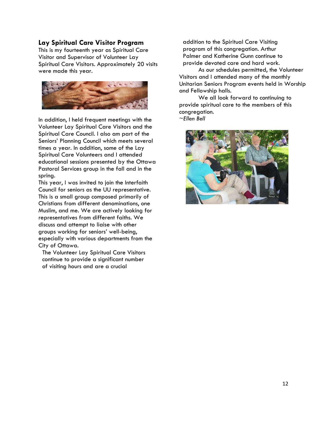#### **Lay Spiritual Care Visitor Program**

This is my fourteenth year as Spiritual Care Visitor and Supervisor of Volunteer Lay Spiritual Care Visitors. Approximately 20 visits were made this year.



In addition, I held frequent meetings with the Volunteer Lay Spiritual Care Visitors and the Spiritual Care Council. I also am part of the Seniors' Planning Council which meets several times a year. In addition, some of the Lay Spiritual Care Volunteers and I attended educational sessions presented by the Ottawa Pastoral Services group in the fall and in the spring.

This year, I was invited to join the Interfaith Council for seniors as the UU representative. This is a small group composed primarily of Christians from different denominations, one Muslim, and me. We are actively looking for representatives from different faiths. We discuss and attempt to liaise with other groups working for seniors' well-being, especially with various departments from the City of Ottawa.

The Volunteer Lay Spiritual Care Visitors continue to provide a significant number of visiting hours and are a crucial

addition to the Spiritual Care Visiting program of this congregation. Arthur Palmer and Katherine Gunn continue to provide devoted care and hard work.

As our schedules permitted, the Volunteer Visitors and I attended many of the monthly Unitarian Seniors Program events held in Worship and Fellowship halls.

We all look forward to continuing to provide spiritual care to the members of this congregation.

*~Ellen Bell*

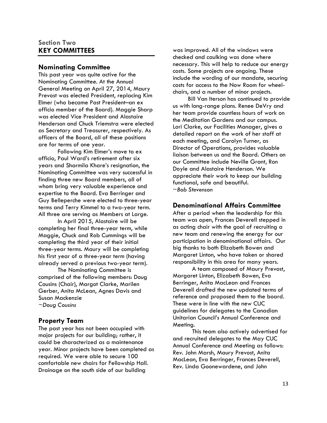## **Section Two KEY COMMITTEES**

#### **Nominating Committee**

This past year was quite active for the Nominating Committee. At the Annual General Meeting on April 27, 2014, Maury Prevost was elected President, replacing Kim Elmer (who became Past President–an ex officio member of the Board). Maggie Sharp was elected Vice President and Alastaire Henderson and Chuck Triemstra were elected as Secretary and Treasurer, respectively. As officers of the Board, all of these positions are for terms of one year.

Following Kim Elmer's move to ex officio, Paul Ward's retirement after six years and Sharmila Khare's resignation, the Nominating Committee was very successful in finding three new Board members, all of whom bring very valuable experience and expertise to the Board. Eva Berringer and Guy Belleperche were elected to three-year terms and Terry Kimmel to a two-year term. All three are serving as Members at Large.

In April 2015, Alastaire will be completing her final three-year term, while Maggie, Chuck and Rob Cummings will be completing the third year of their initial three-year terms. Maury will be completing his first year of a three-year term (having already served a previous two-year term).

The Nominating Committee is comprised of the following members: Doug Cousins (Chair), Margot Clarke, Marilen Gerber, Anita McLean, Agnes Davis and Susan Mackenzie *~Doug Cousins*

#### **Property Team**

The past year has not been occupied with major projects for our building; rather, it could be characterized as a maintenance year. Minor projects have been completed as required. We were able to secure 100 comfortable new chairs for Fellowship Hall. Drainage on the south side of our building

was improved. All of the windows were checked and caulking was done where necessary. This will help to reduce our energy costs. Some projects are ongoing. These include the wording of our mandate, securing costs for access to the Now Room for wheelchairs, and a number of minor projects.

Bill Van Iterson has continued to provide us with long-range plans. Renee DeVry and her team provide countless hours of work on the Meditation Gardens and our campus. Lori Clarke, our Facilities Manager, gives a detailed report on the work of her staff at each meeting, and Carolyn Turner, as Director of Operations, provides valuable liaison between us and the Board. Others on our Committee include Neville Grant, Ron Doyle and Alastaire Henderson. We appreciate their work to keep our building functional, safe and beautiful. ~*Bob Stevenson*

### **Denominational Affairs Committee**

After a period when the leadership for this team was open, Frances Deverell stepped in as acting chair with the goal of recruiting a new team and renewing the energy for our participation in denominational affairs. Our big thanks to both Elizabeth Bowen and Margaret Linton, who have taken or shared responsibility in this area for many years.

A team composed of Maury Prevost, Margaret Linton, Elizabeth Bowen, Eva Berringer, Anita MacLean and Frances Deverell drafted the new updated terms of reference and proposed them to the board. These were in line with the new CUC guidelines for delegates to the Canadian Unitarian Council's Annual Conference and Meeting.

This team also actively advertised for and recruited delegates to the May CUC Annual Conference and Meeting as follows: Rev. John Marsh, Maury Prevost, Anita MacLean, Eva Berringer, Frances Deverell, Rev. Linda Goonewardene, and John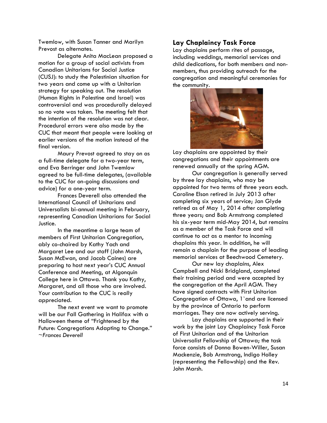Twemlow, with Susan Tanner and Marilyn Prevost as alternates.

Delegate Anita MacLean proposed a motion for a group of social activists from Canadian Unitarians for Social Justice (CUSJ): to study the Palestinian situation for two years and come up with a Unitarian strategy for speaking out. The resolution (Human Rights in Palestine and Israel) was controversial and was procedurally delayed so no vote was taken. The meeting felt that the intention of the resolution was not clear. Procedural errors were also made by the CUC that meant that people were looking at earlier versions of the motion instead of the final version.

Maury Prevost agreed to stay on as a full-time delegate for a two-year term, and Eva Berringer and John Twemlow agreed to be full-time delegates, (available to the CUC for on-going discussions and advice) for a one-year term.

Frances Deverell also attended the International Council of Unitarians and Universalists bi-annual meeting in February, representing Canadian Unitarians for Social Justice.

In the meantime a large team of members of First Unitarian Congregation, ably co-chaired by Kathy Yach and Margaret Lee and our staff (John Marsh, Susan McEwan, and Jacob Caines) are preparing to host next year's CUC Annual Conference and Meeting, at Algonquin College here in Ottawa. Thank you Kathy, Margaret, and all those who are involved. Your contribution to the CUC is really appreciated.

The next event we want to promote will be our Fall Gathering in Halifax with a Halloween theme of "Frightened by the Future: Congregations Adapting to Change." *~Frances Deverell*

## **Lay Chaplaincy Task Force**

Lay chaplains perform rites of passage, including weddings, memorial services and child dedications, for both members and nonmembers, thus providing outreach for the congregation and meaningful ceremonies for the community.



Lay chaplains are appointed by their congregations and their appointments are renewed annually at the spring AGM.

Our congregation is generally served by three lay chaplains, who may be appointed for two terms of three years each. Caroline Elson retired in July 2013 after completing six years of service; Jan Glyde retired as of May 1, 2014 after completing three years; and Bob Armstrong completed his six-year term mid-May 2014, but remains as a member of the Task Force and will continue to act as a mentor to incoming chaplains this year. In addition, he will remain a chaplain for the purpose of leading memorial services at Beechwood Cemetery.

Our new lay chaplains, Alex Campbell and Nicki Bridgland, completed their training period and were accepted by the congregation at the April AGM. They have signed contracts with First Unitarian Congregation of Ottawa, 1'and are licensed by the province of Ontario to perform marriages. They are now actively serving.

Lay chaplains are supported in their work by the joint Lay Chaplaincy Task Force of First Unitarian and of the Unitarian Universalist Fellowship of Ottawa; the task force consists of Donna Bowen-Willer, Susan Mackenzie, Bob Armstrong, Indigo Holley (representing the Fellowship) and the Rev. John Marsh.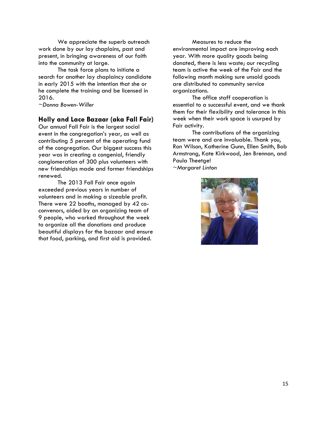We appreciate the superb outreach work done by our lay chaplains, past and present, in bringing awareness of our faith into the community at large.

The task force plans to initiate a search for another lay chaplaincy candidate in early 2015 with the intention that she or he complete the training and be licensed in 2016.

*~Donna Bowen-Willer*

#### **Holly and Lace Bazaar (aka Fall Fair)**

Our annual Fall Fair is the largest social event in the congregation's year, as well as contributing 5 percent of the operating fund of the congregation. Our biggest success this year was in creating a congenial, friendly conglomeration of 300 plus volunteers with new friendships made and former friendships renewed.

The 2013 Fall Fair once again exceeded previous years in number of volunteers and in making a sizeable profit. There were 22 booths, managed by 42 coconvenors, aided by an organizing team of 9 people, who worked throughout the week to organize all the donations and produce beautiful displays for the bazaar and ensure that food, parking, and first aid is provided.

Measures to reduce the environmental impact are improving each year. With more quality goods being donated, there is less waste; our recycling team is active the week of the Fair and the following month making sure unsold goods are distributed to community service organizations.

The office staff cooperation is essential to a successful event, and we thank them for their flexibility and tolerance in this week when their work space is usurped by Fair activity.

The contributions of the organizing team were and are invaluable. Thank you, Ron Wilson, Katherine Gunn, Ellen Smith, Bob Armstrong, Kate Kirkwood, Jen Brennan, and Paula Theetge! *~Margaret Linton*

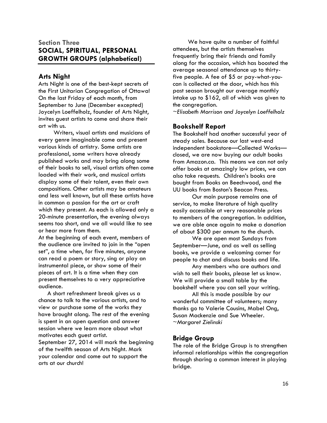## **Section Three SOCIAL, SPIRITUAL, PERSONAL GROWTH GROUPS (alphabetical)**

## **Arts Night**

Arts Night is one of the best-kept secrets of the First Unitarian Congregation of Ottawa! On the last Friday of each month, from September to June (December excepted) Joycelyn Loeffelholz, founder of Arts Night, invites guest artists to come and share their art with us.

Writers, visual artists and musicians of every genre imaginable come and present various kinds of artistry. Some artists are professional, some writers have already published works and may bring along some of their books to sell, visual artists often come loaded with their work, and musical artists display some of their talent, even their own compositions. Other artists may be amateurs and less well known, but all these artists have in common a passion for the art or craft which they present. As each is allowed only a 20-minute presentation, the evening always seems too short, and we all would like to see or hear more from them.

At the beginning of each event, members of the audience are invited to join in the "open set", a time when, for five minutes, anyone can read a poem or story, sing or play an instrumental piece, or show some of their pieces of art. It is a time when they can present themselves to a very appreciative audience.

 A short refreshment break gives us a chance to talk to the various artists, and to view or purchase some of the works they have brought along. The rest of the evening is spent in an open question and answer session where we learn more about what motivates each guest artist. September 27, 2014 will mark the beginning of the twelfth season of Arts Night. Mark your calendar and come out to support the arts at our church!

We have quite a number of faithful attendees, but the artists themselves frequently bring their friends and family along for the occasion, which has boosted the average seasonal attendance up to thirtyfive people. A fee of \$5 or pay-what-youcan is collected at the door, which has this past season brought our average monthly intake up to \$162, all of which was given to the congregation.

~*Elisabeth Morrison and Joycelyn Loeffelholz*

## **Bookshelf Report**

The Bookshelf had another successful year of steady sales. Because our last west-end independent bookstore—Collected Works closed, we are now buying our adult books from Amazon.ca. This means we can not only offer books at amazingly low prices, we can also take requests. Children's books are bought from Books on Beechwood, and the UU books from Boston's Beacon Press.

Our main purpose remains one of service, to make literature of high quality easily accessible at very reasonable prices to members of the congregation. In addition, we are able once again to make a donation of about \$300 per annum to the church.

We are open most Sundays from September—June, and as well as selling books, we provide a welcoming corner for people to chat and discuss books and life.

Any members who are authors and wish to sell their books, please let us know. We will provide a small table by the bookshelf where you can sell your writing.

All this is made possible by our wonderful committee of volunteers; many thanks go to Valerie Cousins, Mabel Ong, Susan Mackenzie and Sue Wheeler. *~Margaret Zielinski*

## **Bridge Group**

The role of the Bridge Group is to strengthen informal relationships within the congregation through sharing a common interest in playing bridge.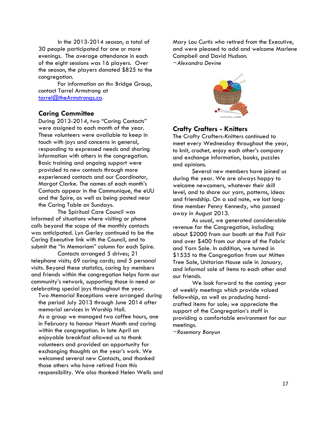In the 2013-2014 season, a total of 30 people participated for one or more evenings. The average attendance in each of the eight sessions was 16 players. Over the season, the players donated \$825 to the congregation.

For information on the Bridge Group, contact Tarrel Armstrong at [tarrel@theArmstrongs.ca.](mailto:tarrel@theArmstrongs.ca)

#### **Caring Committee**

During 2013-2014, two "Caring Contacts" were assigned to each month of the year. These volunteers were available to keep in touch with joys and concerns in general, responding to expressed needs and sharing information with others in the congregation. Basic training and ongoing support were provided to new contacts through more experienced contacts and our Coordinator, Margot Clarke. The names of each month's Contacts appear in the Communique, the eUU and the Spire, as well as being posted near the Caring Table on Sundays.

The Spiritual Care Council was informed of situations where visiting or phone calls beyond the scope of the monthly contacts was anticipated. Lyn Gerley continued to be the Caring Executive link with the Council, and to submit the "In Memoriam" column for each Spire.

Contacts arranged 5 drives; 21 telephone visits; 69 caring cards; and 5 personal visits. Beyond these statistics, caring by members and friends within the congregation helps form our community's network, supporting those in need or celebrating special joys throughout the year.

Two Memorial Receptions were arranged during the period July 2013 through June 2014 after memorial services in Worship Hall. As a group we managed two coffee hours, one in February to honour Heart Month and caring within the congregation. In late April an enjoyable breakfast allowed us to thank volunteers and provided an opportunity for exchanging thoughts on the year's work. We welcomed several new Contacts, and thanked those others who have retired from this responsibility. We also thanked Helen Wells and Mary Lou Curtis who retired from the Executive, and were pleased to add and welcome Marlene Campbell and David Hudson.

*~Alexandra Devine*



### **Crafty Crafters - Knitters**

The Crafty Crafters-Knitters continued to meet every Wednesday throughout the year, to knit, crochet, enjoy each other's company and exchange information, books, puzzles and opinions.

Several new members have joined us during the year. We are always happy to welcome newcomers, whatever their skill level, and to share our yarn, patterns, ideas and friendship. On a sad note, we lost longtime member Penny Kennedy, who passed away in August 2013.

As usual, we generated considerable revenue for the Congregation, including about \$2000 from our booth at the Fall Fair and over \$400 from our share of the Fabric and Yarn Sale. In addition, we turned in \$1535 to the Congregation from our Mitten Tree Sale, Unitarian House sale in January, and informal sale of items to each other and our friends.

We look forward to the coming year of weekly meetings which provide valued fellowship, as well as producing handcrafted items for sale; we appreciate the support of the Congregation's staff in providing a comfortable environment for our meetings.

~*Rosemary Bonyun*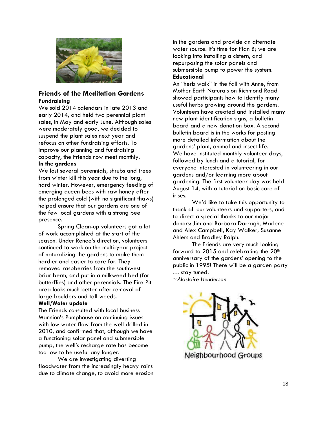

## **Friends of the Meditation Gardens Fundraising**

We sold 2014 calendars in late 2013 and early 2014, and held two perennial plant sales, in May and early June. Although sales were moderately good, we decided to suspend the plant sales next year and refocus on other fundraising efforts. To improve our planning and fundraising capacity, the Friends now meet monthly.

#### **In the gardens**

We lost several perennials, shrubs and trees from winter kill this year due to the long, hard winter. However, emergency feeding of emerging queen bees with raw honey after the prolonged cold (with no significant thaws) helped ensure that our gardens are one of the few local gardens with a strong bee presence.

Spring Clean-up volunteers got a lot of work accomplished at the start of the season. Under Renee's direction, volunteers continued to work on the multi-year project of naturalizing the gardens to make them hardier and easier to care for. They removed raspberries from the southwest briar berm, and put in a milkweed bed (for butterflies) and other perennials. The Fire Pit area looks much better after removal of large boulders and tall weeds.

#### **Well/Water update**

The Friends consulted with local business Mannion's Pumphouse on continuing issues with low water flow from the well drilled in 2010, and confirmed that, although we have a functioning solar panel and submersible pump, the well's recharge rate has become too low to be useful any longer.

We are investigating diverting floodwater from the increasingly heavy rains due to climate change, to avoid more erosion

in the gardens and provide an alternate water source. It's time for Plan B; we are looking into installing a cistern, and repurposing the solar panels and submersible pump to power the system. **Educational**

An "herb walk" in the fall with Anne, from Mother Earth Naturals on Richmond Road showed participants how to identify many useful herbs growing around the gardens. Volunteers have created and installed many new plant identification signs, a bulletin board and a new donation box. A second bulletin board is in the works for posting more detailed information about the gardens' plant, animal and insect life. We have instituted monthly volunteer days, followed by lunch and a tutorial, for everyone interested in volunteering in our gardens and/or learning more about gardening. The first volunteer day was held August 14, with a tutorial on basic care of irises.

We'd like to take this opportunity to thank all our volunteers and supporters, and to direct a special thanks to our major donors: Jim and Barbara Darragh, Marlene and Alex Campbell, Kay Walker, Susanne Ahlers and Bradley Ralph.

The Friends are very much looking forward to  $2015$  and celebrating the  $20<sup>th</sup>$ anniversary of the gardens' opening to the public in 1995! There will be a garden party … stay tuned.

*~Alastaire Henderson*

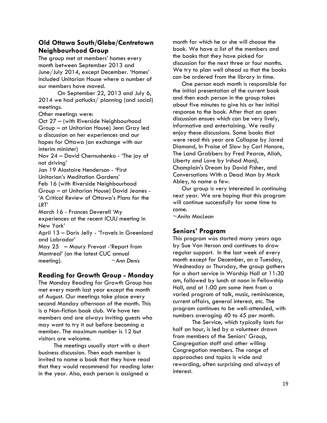## **Old Ottawa South/Glebe/Centretown Neighbourhood Group**

The group met at members' homes every month between September 2013 and June/July 2014, except December. 'Homes' included Unitarian House where a number of our members have moved.

On September 22, 2013 and July 6, 2014 we had potlucks/ planning (and social) meetings.

Other meetings were:

Oct 27 – (with Riverside Neighbourhood Group – at Unitarian House) Jenn Gray led a discussion on her experiences and our hopes for Ottawa (an exchange with our interim minister)

Nov 24 – David Chernushenko - 'The joy of not driving'

Jan 19 Alastaire Henderson - 'First Unitarian's Meditation Gardens'

Feb 16 (with Riverside Neighbourhood Group – at Unitarian House) David Jeanes - 'A Critical Review of Ottawa's Plans for the LRT'

March 16 - Frances Deverell 'My experiences at the recent ICUU meeting in New York'

April 13 – Doris Jelly - 'Travels in Greenland and Labrador'

May 25 – Maury Prevost -'Report from Montreal' (on the latest CUC annual meeting). *~Ann Denis* 

## **Reading for Growth Group - Monday**

The Monday Reading for Growth Group has met every month last year except the month of August. Our meetings take place every second Monday afternoon of the month. This is a Non-fiction book club. We have ten members and are always inviting guests who may want to try it out before becoming a member. The maximum number is 12 but visitors are welcome.

The meetings usually start with a short business discussion. Then each member is invited to name a book that they have read that they would recommend for reading later in the year. Also, each person is assigned a

month for which he or she will choose the book. We have a list of the members and the books that they have picked for discussion for the next three or four months. We try to plan well ahead so that the books can be ordered from the library in time.

 One person each month is responsible for the initial presentation of the current book and then each person in the group takes about five minutes to give his or her initial response to the book. After that an open discussion ensues which can be very lively, informative and entertaining. We really enjoy these discussions. Some books that were read this year are Collapse by Jared Diamond, In Praise of Slow by Carl Honore, The Land Grabbers by Fred Pearce, Allah, Liberty and Love by Irshad Manji, Champlain's Dream by David Fisher, and Conversations With a Dead Man by Mark Abley, to name a few.

 Our group is very interested in continuing next year. We are hoping that this program will continue successfully for some time to come.

*~Anita MacLean*

## **Seniors' Program**

This program was started many years ago by Sue Van Iterson and continues to draw regular support. In the last week of every month except for December, on a Tuesday, Wednesday or Thursday, the group gathers for a short service in Worship Hall at 11:30 am, followed by lunch at noon in Fellowship Hall, and at 1:00 pm some item from a varied program of talk, music, reminiscence, current affairs, general interest, etc. The program continues to be well-attended, with numbers averaging 40 to 45 per month.

The Service, which typically lasts for half an hour, is led by a volunteer drawn from members of the Seniors' Group, Congregation staff and other willing Congregation members. The range of approaches and topics is wide and rewarding, often surprising and always of interest.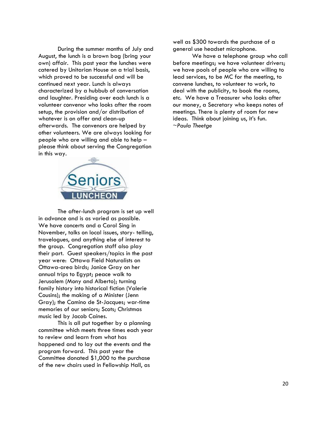During the summer months of July and August, the lunch is a brown bag (bring your own) affair. This past year the lunches were catered by Unitarian House on a trial basis, which proved to be successful and will be continued next year. Lunch is always characterized by a hubbub of conversation and laughter. Presiding over each lunch is a volunteer convenor who looks after the room setup, the provision and/or distribution of whatever is on offer and clean-up afterwards. The convenors are helped by other volunteers. We are always looking for people who are willing and able to help – please think about serving the Congregation in this way.



The after-lunch program is set up well in advance and is as varied as possible. We have concerts and a Carol Sing in November, talks on local issues, story- telling, travelogues, and anything else of interest to the group. Congregation staff also play their part. Guest speakers/topics in the past year were: Ottawa Field Naturalists on Ottawa-area birds; Janice Gray on her annual trips to Egypt; peace walk to Jerusalem (Mony and Alberto); turning family history into historical fiction (Valerie Cousins); the making of a Minister (Jenn Gray); the Camino de St-Jacques; war-time memories of our seniors; Scots; Christmas music led by Jacob Caines.

This is all put together by a planning committee which meets three times each year to review and learn from what has happened and to lay out the events and the program forward. This past year the Committee donated \$1,000 to the purchase of the new chairs used in Fellowship Hall, as

well as \$300 towards the purchase of a general use headset microphone.

We have a telephone group who call before meetings; we have volunteer drivers; we have pools of people who are willing to lead services, to be MC for the meeting, to convene lunches, to volunteer to work, to deal with the publicity, to book the rooms, etc. We have a Treasurer who looks after our money, a Secretary who keeps notes of meetings. There is plenty of room for new ideas. Think about joining us, it's fun. *~Paula Theetge*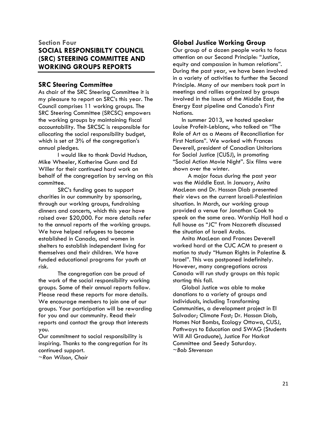## **Section Four SOCIAL RESPONSIBILTY COUNCIL (SRC) STEERING COMMITTEE AND WORKING GROUPS REPORTS**

## **SRC Steering Committee**

As chair of the SRC Steering Committee it is my pleasure to report on SRC's this year. The Council comprises 11 working groups. The SRC Steering Committee (SRCSC) empowers the working groups by maintaining fiscal accountability. The SRCSC is responsible for allocating the social responsibility budget, which is set at 3% of the congregation's annual pledges.

I would like to thank David Hudson, Mike Wheeler, Katherine Gunn and Ed Willer for their continued hard work on behalf of the congregation by serving on this committee.

SRC's funding goes to support charities in our community by sponsoring, through our working groups, fundraising dinners and concerts, which this year have raised over \$20,000. For more details refer to the annual reports of the working groups. We have helped refugees to become established in Canada, and women in shelters to establish independent living for themselves and their children. We have funded educational programs for youth at risk.

The congregation can be proud of the work of the social responsibility working groups. Some of their annual reports follow. Please read these reports for more details. We encourage members to join one of our groups. Your participation will be rewarding for you and our community. Read their reports and contact the group that interests you.

Our commitment to social responsibility is inspiring. Thanks to the congregation for its continued support.

*~Ron Wilson, Chair*

## **Global Justice Working Group**

Our group of a dozen people works to focus attention on our Second Principle: "Justice, equity and compassion in human relations". During the past year, we have been involved in a variety of activities to further the Second Principle. Many of our members took part in meetings and rallies organized by groups involved in the issues of the Middle East, the Energy East pipeline and Canada's First Nations.

 In summer 2013, we hosted speaker Louise Profeit-Leblanc, who talked on "The Role of Art as a Means of Reconciliation for First Nations". We worked with Frances Deverell, president of Canadian Unitarians for Social Justice (CUSJ), in promoting "Social Action Movie Night". Six films were shown over the winter.

A major focus during the past year was the Middle East. In January, Anita MacLean and Dr. Hassan Diab presented their views on the current Israeli-Palestinian situation. In March, our working group provided a venue for Jonathan Cook to speak on the same area. Worship Hall had a full house as "JC" from Nazareth discussed the situation of Israeli Arabs.

 Anita MacLean and Frances Deverell worked hard at the CUC ACM to present a motion to study "Human Rights in Palestine & Israel". This was postponed indefinitely. However, many congregations across Canada will run study groups on this topic starting this fall.

 Global Justice was able to make donations to a variety of groups and individuals, including Transforming Communities, a development project in El Salvador; Climate Fast; Dr. Hassan Diab, Homes Not Bombs, Ecology Ottawa, CUSJ, Pathways to Education and SWAG (Students Will All Graduate), Justice For Harkat Committee and Seedy Saturday. *~Bob Stevenson*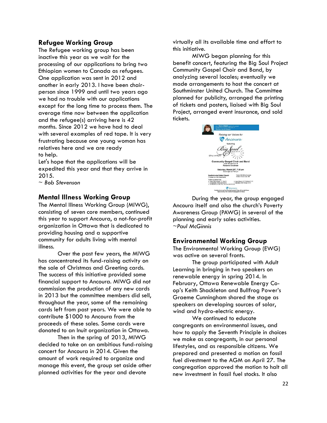#### **Refugee Working Group**

The Refugee working group has been inactive this year as we wait for the processing of our applications to bring two Ethiopian women to Canada as refugees. One application was sent in 2012 and another in early 2013. I have been chairperson since 1999 and until two years ago we had no trouble with our applications except for the long time to process them. The average time now between the application and the refugee(s) arriving here is 42 months. Since 2012 we have had to deal with several examples of red tape. It is very frustrating because one young woman has relatives here and we are ready to help.

Let's hope that the applications will be expedited this year and that they arrive in 2015.

*~ Bob Stevenson*

#### **Mental Illness Working Group**

The Mental Illness Working Group (MIWG), consisting of seven core members, continued this year to support Ancoura, a not-for-profit organization in Ottawa that is dedicated to providing housing and a supportive community for adults living with mental illness.

Over the past few years, the MIWG has concentrated its fund-raising activity on the sale of Christmas and Greeting cards. The success of this initiative provided some financial support to Ancoura. MIWG did not commission the production of any new cards in 2013 but the committee members did sell, throughout the year, some of the remaining cards left from past years. We were able to contribute \$1000 to Ancoura from the proceeds of these sales. Some cards were donated to an Inuit organization in Ottawa.

Then in the spring of 2013, MIWG decided to take on an ambitious fund-raising concert for Ancoura in 2014. Given the amount of work required to organize and manage this event, the group set aside other planned activities for the year and devote

virtually all its available time and effort to this initiative.

MIWG began planning for this benefit concert, featuring the Big Soul Project Community Gospel Choir and Band, by analyzing several locales; eventually we made arrangements to host the concert at Southminster United Church. The Committee planned for publicity, arranged the printing of tickets and posters, liaised with Big Soul Project, arranged event insurance, and sold tickets.

| with Mary Walsh comme the crocert<br>famed warnier princess and creator of<br>This Hour Hos 22 Minutes                                                               |                                                                                            |
|----------------------------------------------------------------------------------------------------------------------------------------------------------------------|--------------------------------------------------------------------------------------------|
|                                                                                                                                                                      | Raising our Voices for                                                                     |
|                                                                                                                                                                      | Ancoura                                                                                    |
|                                                                                                                                                                      | featuring                                                                                  |
| lifting you higher                                                                                                                                                   |                                                                                            |
|                                                                                                                                                                      | <b>Community Gospel Choir and Band</b><br>under the direction of<br><b>Roxanne Goodman</b> |
|                                                                                                                                                                      | Saturday, March 29th, 7:30 pm<br>Doors open at 7:00 pm                                     |
| Southminster United Church<br>15 Aulner Ave. (Old Ottawa South)                                                                                                      | Tickets: \$20 (\$25 at the door)<br>Children 12 and under: \$10                            |
| Tickets available from<br>. Ottawa Fulklore Centre, 1111 Bank St.<br>. Corroad Music, 780 and 206 Bank St.<br>. Paul McCannie (113-629-7156  John Gall (15-237-5214) | . Lepard Records, 1315 Wellington St. W.<br>. Sam Babo, 1208 Wellington St. W.             |
|                                                                                                                                                                      | Ancoura                                                                                    |
|                                                                                                                                                                      | Creating homes and community for people fiving with mental limese                          |

During the year, the group engaged Ancoura itself and also the church's Poverty Awareness Group (PAWG) in several of the planning and early sales activities. *~Paul McGinnis*

#### **Environmental Working Group**

The Environmental Working Group (EWG) was active on several fronts.

The group participated with Adult Learning in bringing in two speakers on renewable energy in spring 2014. In February, Ottawa Renewable Energy Coop's Keith Shackleton and Bullfrog Power's Graeme Cunningham shared the stage as speakers on developing sources of solar, wind and hydro-electric energy.

We continued to educate congregants on environmental issues, and how to apply the Seventh Principle in choices we make as congregants, in our personal lifestyles, and as responsible citizens. We prepared and presented a motion on fossil fuel divestment to the AGM on April 27. The congregation approved the motion to halt all new investment in fossil fuel stocks. It also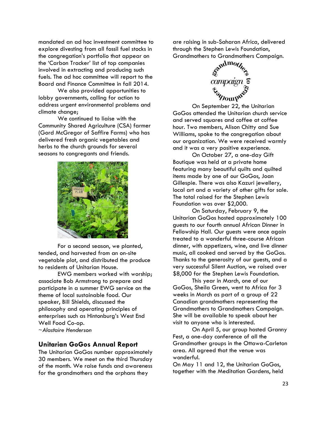mandated an ad hoc investment committee to explore divesting from all fossil fuel stocks in the congregation's portfolio that appear on the 'Carbon Tracker' list of top companies involved in extracting and producing such fuels. The ad hoc committee will report to the Board and Finance Committee in fall 2014.

We also provided opportunities to lobby governments, calling for action to address urgent environmental problems and climate change;

We continued to liaise with the Community Shared Agriculture (CSA) farmer (Gord McGregor of Saffire Farms) who has delivered fresh organic vegetables and herbs to the church grounds for several seasons to congregants and friends.



For a second season, we planted, tended, and harvested from an on-site vegetable plot, and distributed the produce to residents of Unitarian House.

EWG members worked with worship; associate Bob Armstrong to prepare and participate in a summer EWG service on the theme of local sustainable food. Our speaker, Bill Shields, discussed the philosophy and operating principles of enterprises such as Hintonburg's West End Well Food Co-op. *~Alastaire Henderson*

#### **Unitarian GoGos Annual Report**

The Unitarian GoGos number approximately 30 members. We meet on the third Thursday of the month. We raise funds and awareness for the grandmothers and the orphans they

are raising in sub-Saharan Africa, delivered through the Stephen Lewis Foundation,



On September 22, the Unitarian GoGos attended the Unitarian church service and served squares and coffee at coffee hour. Two members, Alison Chitty and Sue Williams, spoke to the congregation about our organization. We were received warmly and it was a very positive experience.

On October 27, a one-day Gift Boutique was held at a private home featuring many beautiful quilts and quilted items made by one of our GoGos, Joan Gillespie. There was also Kazuri jewellery, local art and a variety of other gifts for sale. The total raised for the Stephen Lewis Foundation was over \$2,000.

On Saturday, February 9, the Unitarian GoGos hosted approximately 100 guests to our fourth annual African Dinner in Fellowship Hall. Our guests were once again treated to a wonderful three-course African dinner, with appetizers, wine, and live dinner music, all cooked and served by the GoGos. Thanks to the generosity of our guests, and a very successful Silent Auction, we raised over \$8,000 for the Stephen Lewis Foundation.

This year in March, one of our GoGos, Sheila Green, went to Africa for 3 weeks in March as part of a group of 22 Canadian grandmothers representing the Grandmothers to Grandmothers Campaign. She will be available to speak about her visit to anyone who is interested.

On April 5, our group hosted Granny Fest, a one-day conference of all the Grandmother groups in the Ottawa-Carleton area. All agreed that the venue was wonderful.

On May 11 and 12, the Unitarian GoGos, together with the Meditation Gardens, held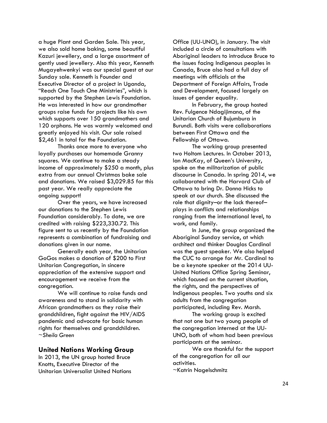a huge Plant and Garden Sale. This year, we also sold home baking, some beautiful Kazuri jewellery, and a large assortment of gently used jewellery. Also this year, Kenneth Mugayehwenkyi was our special guest at our Sunday sale. Kenneth is Founder and Executive Director of a project in Uganda, "Reach One Touch One Ministries", which is supported by the Stephen Lewis Foundation. He was interested in how our grandmother groups raise funds for projects like his own which supports over 150 grandmothers and 120 orphans. He was warmly welcomed and greatly enjoyed his visit. Our sale raised \$2,461 in total for the Foundation.

Thanks once more to everyone who loyally purchases our homemade Granny squares. We continue to make a steady income of approximately \$250 a month, plus extra from our annual Christmas bake sale and donations. We raised \$3,029.85 for this past year. We really appreciate the ongoing support!

Over the years, we have increased our donations to the Stephen Lewis Foundation considerably. To date, we are credited with raising \$223,330.72. This figure sent to us recently by the Foundation represents a combination of fundraising and donations given in our name.

Generally each year, the Unitarian GoGos makes a donation of \$200 to First Unitarian Congregation, in sincere appreciation of the extensive support and encouragement we receive from the congregation.

We will continue to raise funds and awareness and to stand in solidarity with African grandmothers as they raise their grandchildren, fight against the HIV/AIDS pandemic and advocate for basic human rights for themselves and grandchildren. *~Sheila Green*

#### **United Nations Working Group**

In 2013, the UN group hosted Bruce Knotts, Executive Director of the Unitarian Universalist United Nations

Office (UU-UNO), in January. The visit included a circle of consultations with Aboriginal leaders to introduce Bruce to the issues facing Indigenous peoples in Canada, Bruce also had a full day of meetings with officials at the Department of Foreign Affairs, Trade and Development, focused largely on issues of gender equality.

In February, the group hosted Rev. Fulgence Ndagijimana, of the Unitarian Church of Bujumbura in Burundi. Both visits were collaborations between First Ottawa and the Fellowship of Ottawa.

The working group presented two Holtom Lectures. In October 2013, Ian MacKay, of Queen's University, spoke on the militarization of public discourse in Canada. In spring 2014, we collaborated with the Harvard Club of Ottawa to bring Dr. Donna Hicks to speak at our church. She discussed the role that dignity–or the lack thereof– plays in conflicts and relationships ranging from the international level, to work, and family.

In June, the group organized the Aboriginal Sunday service, at which architect and thinker Douglas Cardinal was the guest speaker. We also helped the CUC to arrange for Mr. Cardinal to be a keynote speaker at the 2014 UU-United Nations Office Spring Seminar, which focused on the current situation, the rights, and the perspectives of Indigenous peoples. Two youths and six adults from the congregation participated, including Rev. Marsh.

The working group is excited that not one but two young people of the congregation interned at the UU-UNO, both of whom had been previous participants at the seminar.

We are thankful for the support of the congregation for all our activities.

~Katrin Nagelschmitz